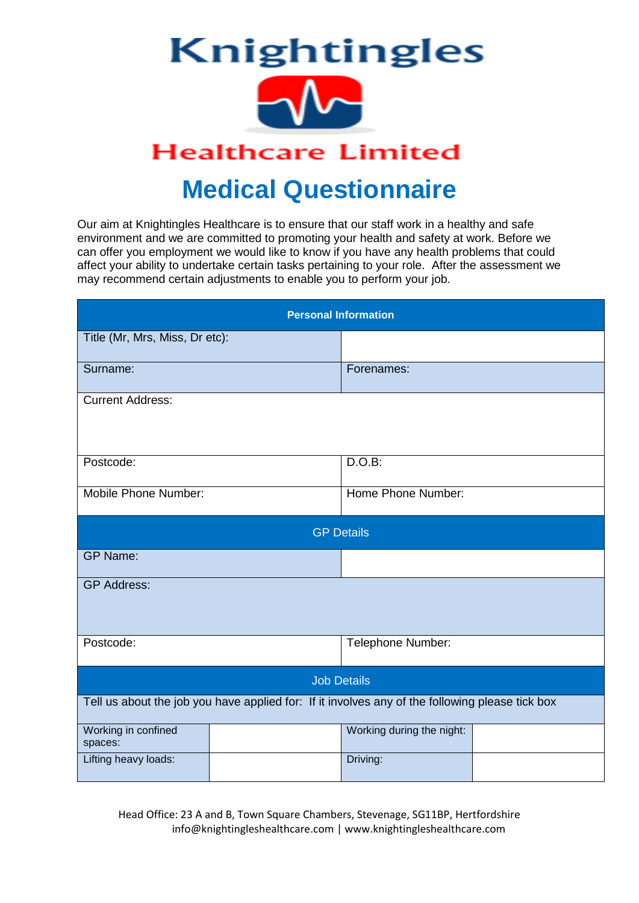

# **Medical Questionnaire**

Our aim at Knightingles Healthcare is to ensure that our staff work in a healthy and safe environment and we are committed to promoting your health and safety at work. Before we can offer you employment we would like to know if you have any health problems that could affect your ability to undertake certain tasks pertaining to your role. After the assessment we may recommend certain adjustments to enable you to perform your job.

| <b>Personal Information</b>    |                                                                                                 |                           |  |  |  |  |
|--------------------------------|-------------------------------------------------------------------------------------------------|---------------------------|--|--|--|--|
| Title (Mr, Mrs, Miss, Dr etc): |                                                                                                 |                           |  |  |  |  |
| Surname:                       |                                                                                                 | Forenames:                |  |  |  |  |
| <b>Current Address:</b>        |                                                                                                 |                           |  |  |  |  |
| Postcode:                      |                                                                                                 | D.O.B:                    |  |  |  |  |
| Mobile Phone Number:           |                                                                                                 | Home Phone Number:        |  |  |  |  |
|                                |                                                                                                 | <b>GP Details</b>         |  |  |  |  |
| <b>GP Name:</b>                |                                                                                                 |                           |  |  |  |  |
| <b>GP Address:</b>             |                                                                                                 |                           |  |  |  |  |
| Postcode:                      |                                                                                                 | Telephone Number:         |  |  |  |  |
| <b>Job Details</b>             |                                                                                                 |                           |  |  |  |  |
|                                | Tell us about the job you have applied for: If it involves any of the following please tick box |                           |  |  |  |  |
| Working in confined<br>spaces: |                                                                                                 | Working during the night: |  |  |  |  |
| Lifting heavy loads:           |                                                                                                 | Driving:                  |  |  |  |  |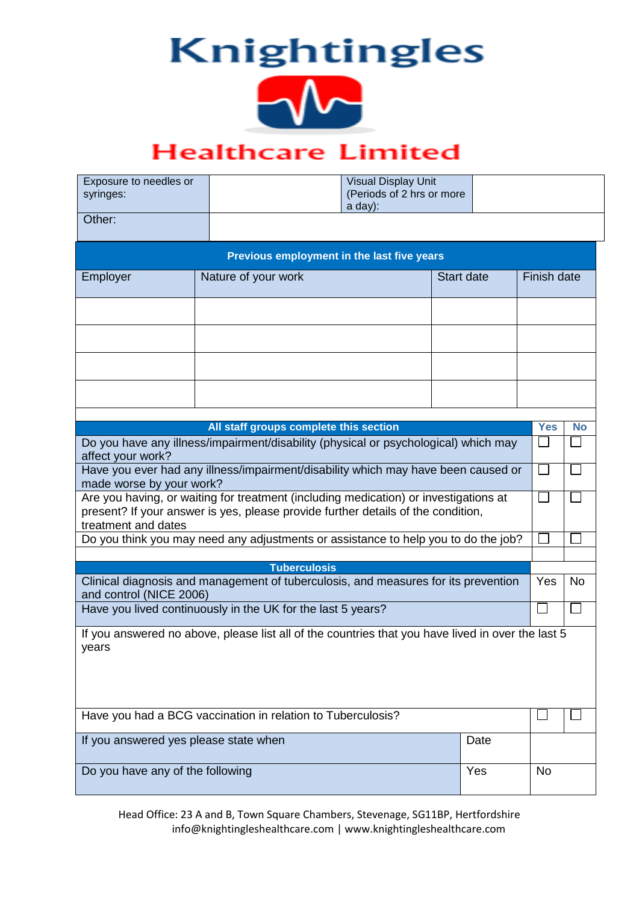

## **Healthcare Limited**

| Exposure to needles or<br>syringes:                                                                                                                                                             |                                                                                                   | <b>Visual Display Unit</b><br>(Periods of 2 hrs or more<br>a day): |                   |             |     |
|-------------------------------------------------------------------------------------------------------------------------------------------------------------------------------------------------|---------------------------------------------------------------------------------------------------|--------------------------------------------------------------------|-------------------|-------------|-----|
| Other:                                                                                                                                                                                          |                                                                                                   |                                                                    |                   |             |     |
|                                                                                                                                                                                                 | Previous employment in the last five years                                                        |                                                                    |                   |             |     |
| Employer                                                                                                                                                                                        | Nature of your work                                                                               |                                                                    | <b>Start date</b> | Finish date |     |
|                                                                                                                                                                                                 |                                                                                                   |                                                                    |                   |             |     |
|                                                                                                                                                                                                 |                                                                                                   |                                                                    |                   |             |     |
|                                                                                                                                                                                                 |                                                                                                   |                                                                    |                   |             |     |
|                                                                                                                                                                                                 |                                                                                                   |                                                                    |                   |             |     |
|                                                                                                                                                                                                 | All staff groups complete this section                                                            |                                                                    |                   | <b>Yes</b>  | No  |
| Do you have any illness/impairment/disability (physical or psychological) which may                                                                                                             |                                                                                                   |                                                                    |                   |             |     |
| affect your work?                                                                                                                                                                               | Have you ever had any illness/impairment/disability which may have been caused or                 |                                                                    |                   |             |     |
| made worse by your work?                                                                                                                                                                        |                                                                                                   |                                                                    |                   |             |     |
| Are you having, or waiting for treatment (including medication) or investigations at<br>present? If your answer is yes, please provide further details of the condition,<br>treatment and dates |                                                                                                   |                                                                    | $\mathbf{L}$      |             |     |
| Do you think you may need any adjustments or assistance to help you to do the job?                                                                                                              |                                                                                                   |                                                                    |                   |             |     |
|                                                                                                                                                                                                 | <b>Tuberculosis</b>                                                                               |                                                                    |                   |             |     |
| Clinical diagnosis and management of tuberculosis, and measures for its prevention<br>and control (NICE 2006)                                                                                   |                                                                                                   |                                                                    |                   |             | No. |
| Have you lived continuously in the UK for the last 5 years?                                                                                                                                     |                                                                                                   |                                                                    |                   |             |     |
| years                                                                                                                                                                                           | If you answered no above, please list all of the countries that you have lived in over the last 5 |                                                                    |                   |             |     |
|                                                                                                                                                                                                 | Have you had a BCG vaccination in relation to Tuberculosis?                                       |                                                                    |                   |             |     |
| If you answered yes please state when                                                                                                                                                           |                                                                                                   |                                                                    | Date              |             |     |
| Do you have any of the following                                                                                                                                                                |                                                                                                   |                                                                    | Yes               | <b>No</b>   |     |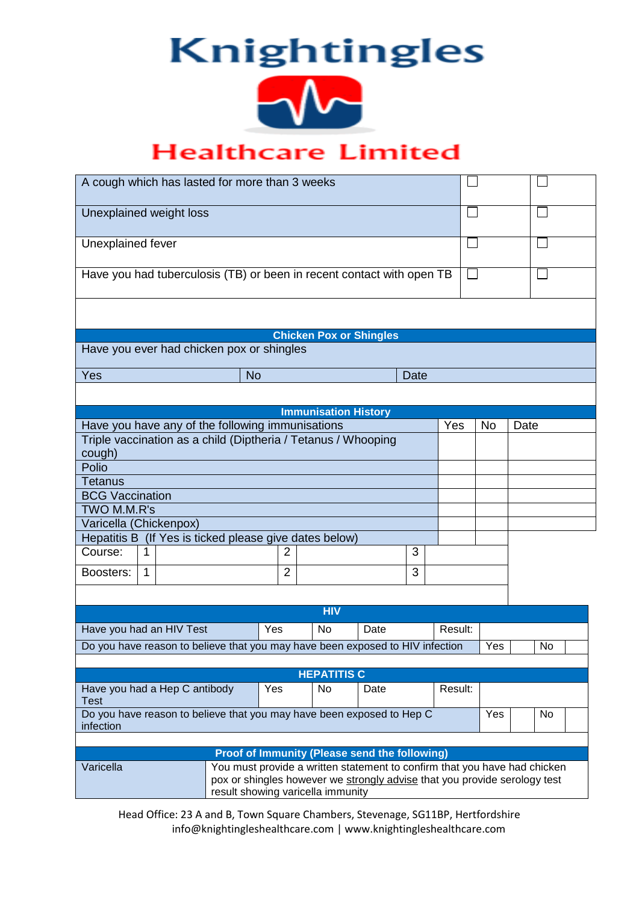

## **Healthcare Limited**

| A cough which has lasted for more than 3 weeks                                                                              |                |                                                                           |      |  |   |         |           |      |  |
|-----------------------------------------------------------------------------------------------------------------------------|----------------|---------------------------------------------------------------------------|------|--|---|---------|-----------|------|--|
| Unexplained weight loss                                                                                                     |                |                                                                           |      |  |   |         |           |      |  |
| Unexplained fever                                                                                                           |                |                                                                           |      |  |   |         |           |      |  |
| Have you had tuberculosis (TB) or been in recent contact with open TB                                                       |                |                                                                           |      |  |   |         |           |      |  |
|                                                                                                                             |                |                                                                           |      |  |   |         |           |      |  |
|                                                                                                                             |                | <b>Chicken Pox or Shingles</b>                                            |      |  |   |         |           |      |  |
| Have you ever had chicken pox or shingles                                                                                   |                |                                                                           |      |  |   |         |           |      |  |
| Yes<br><b>No</b><br><b>Date</b>                                                                                             |                |                                                                           |      |  |   |         |           |      |  |
|                                                                                                                             |                |                                                                           |      |  |   |         |           |      |  |
|                                                                                                                             |                | <b>Immunisation History</b>                                               |      |  |   |         |           |      |  |
| Have you have any of the following immunisations                                                                            |                |                                                                           |      |  |   | Yes     | <b>No</b> | Date |  |
| Triple vaccination as a child (Diptheria / Tetanus / Whooping                                                               |                |                                                                           |      |  |   |         |           |      |  |
| cough)                                                                                                                      |                |                                                                           |      |  |   |         |           |      |  |
| Polio                                                                                                                       |                |                                                                           |      |  |   |         |           |      |  |
| Tetanus                                                                                                                     |                |                                                                           |      |  |   |         |           |      |  |
| <b>BCG Vaccination</b>                                                                                                      |                |                                                                           |      |  |   |         |           |      |  |
| TWO M.M.R's                                                                                                                 |                |                                                                           |      |  |   |         |           |      |  |
| Varicella (Chickenpox)                                                                                                      |                |                                                                           |      |  |   |         |           |      |  |
| Hepatitis B (If Yes is ticked please give dates below)                                                                      |                |                                                                           |      |  |   |         |           |      |  |
| Course:                                                                                                                     | 3<br>2<br>1    |                                                                           |      |  |   |         |           |      |  |
| $\mathbf{1}$<br>Boosters:                                                                                                   | $\overline{2}$ |                                                                           |      |  | 3 |         |           |      |  |
|                                                                                                                             |                |                                                                           |      |  |   |         |           |      |  |
|                                                                                                                             |                | <b>HIV</b>                                                                |      |  |   |         |           |      |  |
| Have you had an HIV Test                                                                                                    | Yes            | No                                                                        | Date |  |   | Result: |           |      |  |
| Do you have reason to believe that you may have been exposed to HIV infection                                               |                |                                                                           |      |  |   |         | Yes       | No   |  |
|                                                                                                                             |                |                                                                           |      |  |   |         |           |      |  |
|                                                                                                                             |                | <b>HEPATITIS C</b>                                                        |      |  |   |         |           |      |  |
| Have you had a Hep C antibody                                                                                               | Yes            | No                                                                        | Date |  |   | Result: |           |      |  |
| <b>Test</b>                                                                                                                 |                |                                                                           |      |  |   |         |           |      |  |
| Do you have reason to believe that you may have been exposed to Hep C<br>infection                                          |                |                                                                           |      |  |   |         | Yes       | No   |  |
|                                                                                                                             |                |                                                                           |      |  |   |         |           |      |  |
|                                                                                                                             |                | <b>Proof of Immunity (Please send the following)</b>                      |      |  |   |         |           |      |  |
| Varicella<br>pox or shingles however we strongly advise that you provide serology test<br>result showing varicella immunity |                | You must provide a written statement to confirm that you have had chicken |      |  |   |         |           |      |  |